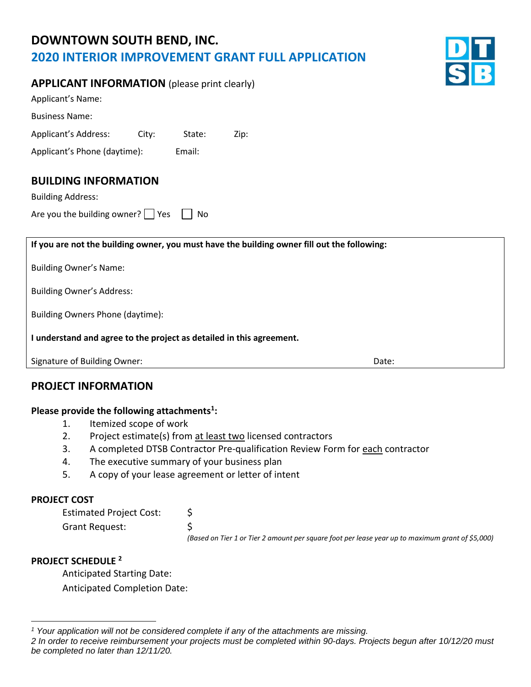# **DOWNTOWN SOUTH BEND, INC. 2020 INTERIOR IMPROVEMENT GRANT FULL APPLICATION**



| <b>APPLICANT INFORMATION</b> (please print clearly) |  |
|-----------------------------------------------------|--|
|-----------------------------------------------------|--|

| Applicant's Name:            |       |        |      |
|------------------------------|-------|--------|------|
| <b>Business Name:</b>        |       |        |      |
| Applicant's Address:         | City: | State: | Zip: |
| Applicant's Phone (daytime): |       | Email: |      |

## **BUILDING INFORMATION**

Building Address:

Are you the building owner?  $\Box$  Yes  $\Box$  No

**If you are not the building owner, you must have the building owner fill out the following:**  Building Owner's Name: Building Owner's Address: Building Owners Phone (daytime): **I understand and agree to the project as detailed in this agreement.** Signature of Building Owner: Notifiantly a state of Building Owner: Note: Date: Date:

## **PROJECT INFORMATION**

#### **Please provide the following attachments<sup>1</sup> :**

- 1. Itemized scope of work
- 2. Project estimate(s) from at least two licensed contractors
- 3. A completed DTSB Contractor Pre-qualification Review Form for each contractor
- 4. The executive summary of your business plan
- 5. A copy of your lease agreement or letter of intent

#### **PROJECT COST**

| <b>Estimated Project Cost:</b> |                                                                                                  |
|--------------------------------|--------------------------------------------------------------------------------------------------|
| Grant Request:                 |                                                                                                  |
|                                | (Based on Tier 1 or Tier 2 amount per square foot per lease year up to maximum grant of \$5,000) |

### **PROJECT SCHEDULE <sup>2</sup>**

Anticipated Starting Date: Anticipated Completion Date:

*<sup>1</sup> Your application will not be considered complete if any of the attachments are missing.* 

*<sup>2</sup> In order to receive reimbursement your projects must be completed within 90-days. Projects begun after 10/12/20 must be completed no later than 12/11/20.*